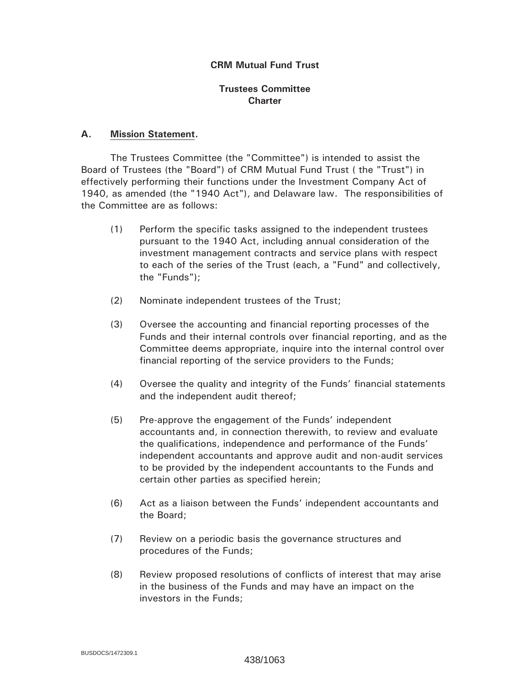# **CRM Mutual Fund Trust**

### **Trustees Committee Charter**

#### **A. Mission Statement.**

 The Trustees Committee (the "Committee") is intended to assist the Board of Trustees (the "Board") of CRM Mutual Fund Trust ( the "Trust") in effectively performing their functions under the Investment Company Act of 1940, as amended (the "1940 Act"), and Delaware law. The responsibilities of the Committee are as follows:

- (1) Perform the specific tasks assigned to the independent trustees pursuant to the 1940 Act, including annual consideration of the investment management contracts and service plans with respect to each of the series of the Trust (each, a "Fund" and collectively, the "Funds");
- (2) Nominate independent trustees of the Trust;
- (3) Oversee the accounting and financial reporting processes of the Funds and their internal controls over financial reporting, and as the Committee deems appropriate, inquire into the internal control over financial reporting of the service providers to the Funds;
- (4) Oversee the quality and integrity of the Funds' financial statements and the independent audit thereof;
- (5) Pre-approve the engagement of the Funds' independent accountants and, in connection therewith, to review and evaluate the qualifications, independence and performance of the Funds' independent accountants and approve audit and non-audit services to be provided by the independent accountants to the Funds and certain other parties as specified herein;
- (6) Act as a liaison between the Funds' independent accountants and the Board;
- (7) Review on a periodic basis the governance structures and procedures of the Funds;
- (8) Review proposed resolutions of conflicts of interest that may arise in the business of the Funds and may have an impact on the investors in the Funds;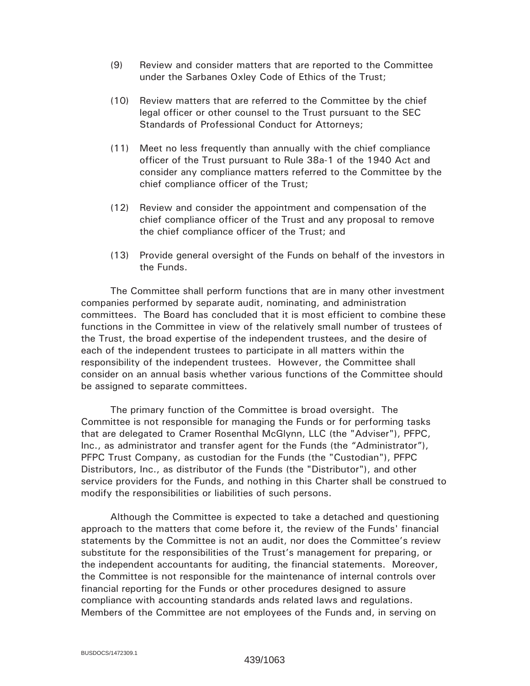- (9) Review and consider matters that are reported to the Committee under the Sarbanes Oxley Code of Ethics of the Trust;
- (10) Review matters that are referred to the Committee by the chief legal officer or other counsel to the Trust pursuant to the SEC Standards of Professional Conduct for Attorneys;
- (11) Meet no less frequently than annually with the chief compliance officer of the Trust pursuant to Rule 38a-1 of the 1940 Act and consider any compliance matters referred to the Committee by the chief compliance officer of the Trust;
- (12) Review and consider the appointment and compensation of the chief compliance officer of the Trust and any proposal to remove the chief compliance officer of the Trust; and
- (13) Provide general oversight of the Funds on behalf of the investors in the Funds.

 The Committee shall perform functions that are in many other investment companies performed by separate audit, nominating, and administration committees. The Board has concluded that it is most efficient to combine these functions in the Committee in view of the relatively small number of trustees of the Trust, the broad expertise of the independent trustees, and the desire of each of the independent trustees to participate in all matters within the responsibility of the independent trustees. However, the Committee shall consider on an annual basis whether various functions of the Committee should be assigned to separate committees.

 The primary function of the Committee is broad oversight. The Committee is not responsible for managing the Funds or for performing tasks that are delegated to Cramer Rosenthal McGlynn, LLC (the "Adviser"), PFPC, Inc., as administrator and transfer agent for the Funds (the "Administrator"), PFPC Trust Company, as custodian for the Funds (the "Custodian"), PFPC Distributors, Inc., as distributor of the Funds (the "Distributor"), and other service providers for the Funds, and nothing in this Charter shall be construed to modify the responsibilities or liabilities of such persons.

Although the Committee is expected to take a detached and questioning approach to the matters that come before it, the review of the Funds' financial statements by the Committee is not an audit, nor does the Committee's review substitute for the responsibilities of the Trust's management for preparing, or the independent accountants for auditing, the financial statements. Moreover, the Committee is not responsible for the maintenance of internal controls over financial reporting for the Funds or other procedures designed to assure compliance with accounting standards ands related laws and regulations. Members of the Committee are not employees of the Funds and, in serving on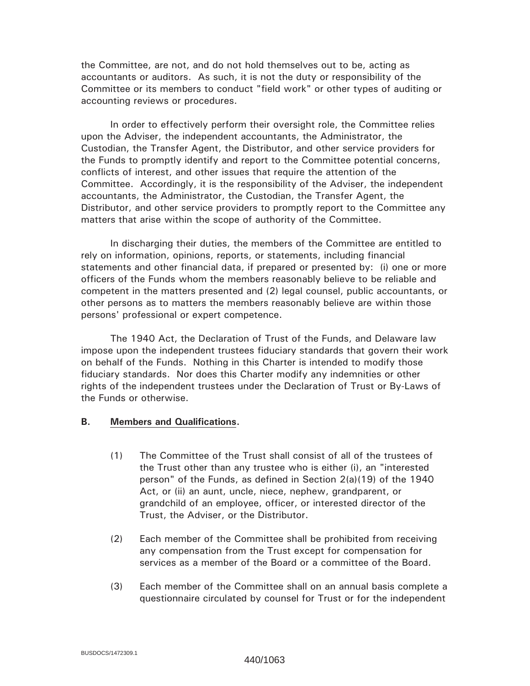the Committee, are not, and do not hold themselves out to be, acting as accountants or auditors. As such, it is not the duty or responsibility of the Committee or its members to conduct "field work" or other types of auditing or accounting reviews or procedures.

 In order to effectively perform their oversight role, the Committee relies upon the Adviser, the independent accountants, the Administrator, the Custodian, the Transfer Agent, the Distributor, and other service providers for the Funds to promptly identify and report to the Committee potential concerns, conflicts of interest, and other issues that require the attention of the Committee. Accordingly, it is the responsibility of the Adviser, the independent accountants, the Administrator, the Custodian, the Transfer Agent, the Distributor, and other service providers to promptly report to the Committee any matters that arise within the scope of authority of the Committee.

In discharging their duties, the members of the Committee are entitled to rely on information, opinions, reports, or statements, including financial statements and other financial data, if prepared or presented by: (i) one or more officers of the Funds whom the members reasonably believe to be reliable and competent in the matters presented and (2) legal counsel, public accountants, or other persons as to matters the members reasonably believe are within those persons' professional or expert competence.

 The 1940 Act, the Declaration of Trust of the Funds, and Delaware law impose upon the independent trustees fiduciary standards that govern their work on behalf of the Funds. Nothing in this Charter is intended to modify those fiduciary standards. Nor does this Charter modify any indemnities or other rights of the independent trustees under the Declaration of Trust or By-Laws of the Funds or otherwise.

#### **B. Members and Qualifications.**

- (1) The Committee of the Trust shall consist of all of the trustees of the Trust other than any trustee who is either (i), an "interested person" of the Funds, as defined in Section 2(a)(19) of the 1940 Act, or (ii) an aunt, uncle, niece, nephew, grandparent, or grandchild of an employee, officer, or interested director of the Trust, the Adviser, or the Distributor.
- (2) Each member of the Committee shall be prohibited from receiving any compensation from the Trust except for compensation for services as a member of the Board or a committee of the Board.
- (3) Each member of the Committee shall on an annual basis complete a questionnaire circulated by counsel for Trust or for the independent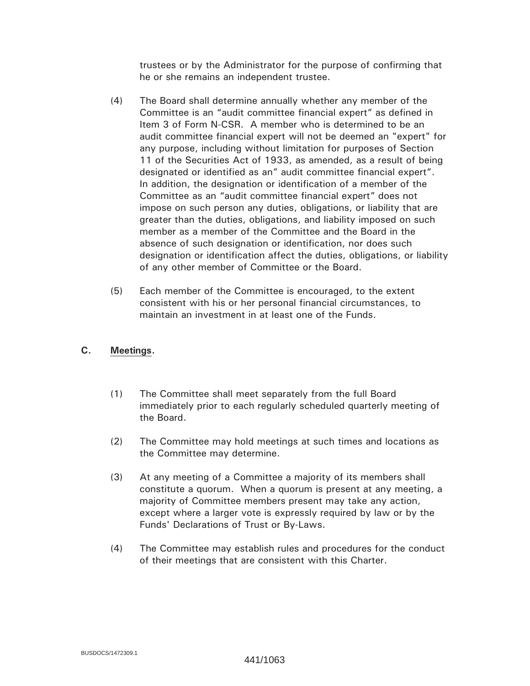trustees or by the Administrator for the purpose of confirming that he or she remains an independent trustee.

- (4) The Board shall determine annually whether any member of the Committee is an "audit committee financial expert" as defined in Item 3 of Form N-CSR. A member who is determined to be an audit committee financial expert will not be deemed an "expert" for any purpose, including without limitation for purposes of Section 11 of the Securities Act of 1933, as amended, as a result of being designated or identified as an" audit committee financial expert". In addition, the designation or identification of a member of the Committee as an "audit committee financial expert" does not impose on such person any duties, obligations, or liability that are greater than the duties, obligations, and liability imposed on such member as a member of the Committee and the Board in the absence of such designation or identification, nor does such designation or identification affect the duties, obligations, or liability of any other member of Committee or the Board.
- (5) Each member of the Committee is encouraged, to the extent consistent with his or her personal financial circumstances, to maintain an investment in at least one of the Funds.

#### **C. Meetings.**

- (1) The Committee shall meet separately from the full Board immediately prior to each regularly scheduled quarterly meeting of the Board.
- (2) The Committee may hold meetings at such times and locations as the Committee may determine.
- (3) At any meeting of a Committee a majority of its members shall constitute a quorum. When a quorum is present at any meeting, a majority of Committee members present may take any action, except where a larger vote is expressly required by law or by the Funds' Declarations of Trust or By-Laws.
- (4) The Committee may establish rules and procedures for the conduct of their meetings that are consistent with this Charter.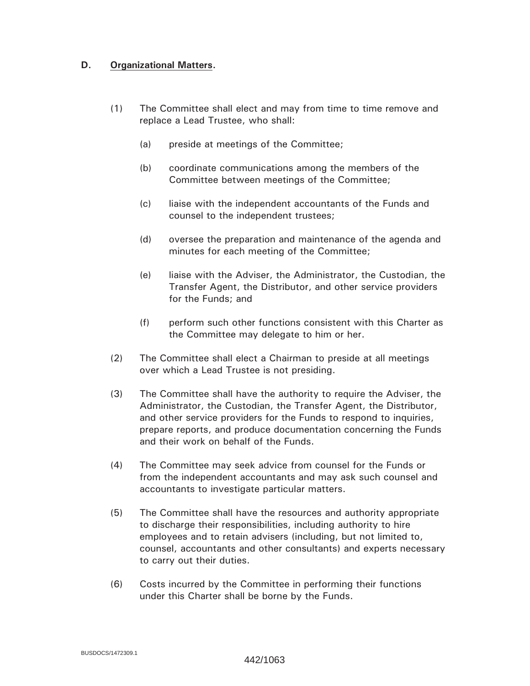# **D. Organizational Matters.**

- (1) The Committee shall elect and may from time to time remove and replace a Lead Trustee, who shall:
	- (a) preside at meetings of the Committee;
	- (b) coordinate communications among the members of the Committee between meetings of the Committee;
	- (c) liaise with the independent accountants of the Funds and counsel to the independent trustees;
	- (d) oversee the preparation and maintenance of the agenda and minutes for each meeting of the Committee;
	- (e) liaise with the Adviser, the Administrator, the Custodian, the Transfer Agent, the Distributor, and other service providers for the Funds; and
	- (f) perform such other functions consistent with this Charter as the Committee may delegate to him or her.
- (2) The Committee shall elect a Chairman to preside at all meetings over which a Lead Trustee is not presiding.
- (3) The Committee shall have the authority to require the Adviser, the Administrator, the Custodian, the Transfer Agent, the Distributor, and other service providers for the Funds to respond to inquiries, prepare reports, and produce documentation concerning the Funds and their work on behalf of the Funds.
- (4) The Committee may seek advice from counsel for the Funds or from the independent accountants and may ask such counsel and accountants to investigate particular matters.
- (5) The Committee shall have the resources and authority appropriate to discharge their responsibilities, including authority to hire employees and to retain advisers (including, but not limited to, counsel, accountants and other consultants) and experts necessary to carry out their duties.
- (6) Costs incurred by the Committee in performing their functions under this Charter shall be borne by the Funds.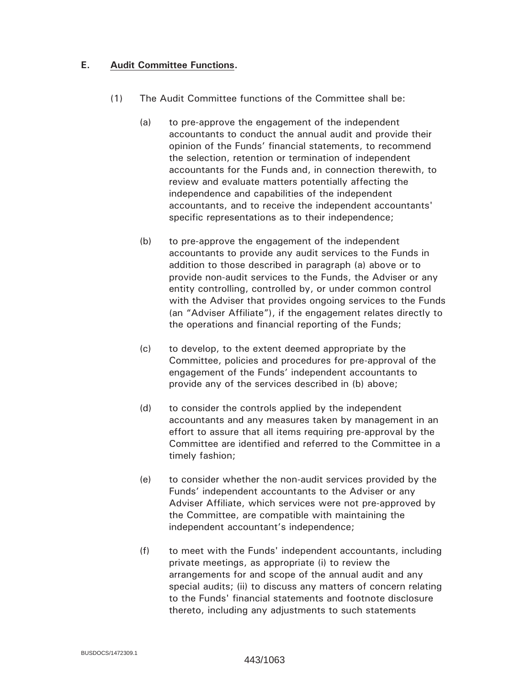### **E. Audit Committee Functions.**

- (1) The Audit Committee functions of the Committee shall be:
	- (a) to pre-approve the engagement of the independent accountants to conduct the annual audit and provide their opinion of the Funds' financial statements, to recommend the selection, retention or termination of independent accountants for the Funds and, in connection therewith, to review and evaluate matters potentially affecting the independence and capabilities of the independent accountants, and to receive the independent accountants' specific representations as to their independence;
	- (b) to pre-approve the engagement of the independent accountants to provide any audit services to the Funds in addition to those described in paragraph (a) above or to provide non-audit services to the Funds, the Adviser or any entity controlling, controlled by, or under common control with the Adviser that provides ongoing services to the Funds (an "Adviser Affiliate"), if the engagement relates directly to the operations and financial reporting of the Funds;
	- (c) to develop, to the extent deemed appropriate by the Committee, policies and procedures for pre-approval of the engagement of the Funds' independent accountants to provide any of the services described in (b) above;
	- (d) to consider the controls applied by the independent accountants and any measures taken by management in an effort to assure that all items requiring pre-approval by the Committee are identified and referred to the Committee in a timely fashion;
	- (e) to consider whether the non-audit services provided by the Funds' independent accountants to the Adviser or any Adviser Affiliate, which services were not pre-approved by the Committee, are compatible with maintaining the independent accountant's independence;
	- (f) to meet with the Funds' independent accountants, including private meetings, as appropriate (i) to review the arrangements for and scope of the annual audit and any special audits; (ii) to discuss any matters of concern relating to the Funds' financial statements and footnote disclosure thereto, including any adjustments to such statements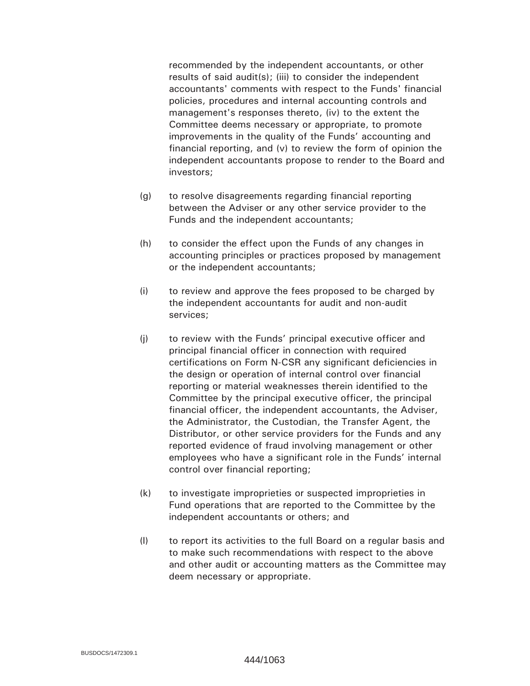recommended by the independent accountants, or other results of said audit(s); (iii) to consider the independent accountants' comments with respect to the Funds' financial policies, procedures and internal accounting controls and management's responses thereto, (iv) to the extent the Committee deems necessary or appropriate, to promote improvements in the quality of the Funds' accounting and financial reporting, and (v) to review the form of opinion the independent accountants propose to render to the Board and investors;

- (g) to resolve disagreements regarding financial reporting between the Adviser or any other service provider to the Funds and the independent accountants;
- (h) to consider the effect upon the Funds of any changes in accounting principles or practices proposed by management or the independent accountants;
- (i) to review and approve the fees proposed to be charged by the independent accountants for audit and non-audit services;
- (j) to review with the Funds' principal executive officer and principal financial officer in connection with required certifications on Form N-CSR any significant deficiencies in the design or operation of internal control over financial reporting or material weaknesses therein identified to the Committee by the principal executive officer, the principal financial officer, the independent accountants, the Adviser, the Administrator, the Custodian, the Transfer Agent, the Distributor, or other service providers for the Funds and any reported evidence of fraud involving management or other employees who have a significant role in the Funds' internal control over financial reporting;
- (k) to investigate improprieties or suspected improprieties in Fund operations that are reported to the Committee by the independent accountants or others; and
- (l) to report its activities to the full Board on a regular basis and to make such recommendations with respect to the above and other audit or accounting matters as the Committee may deem necessary or appropriate.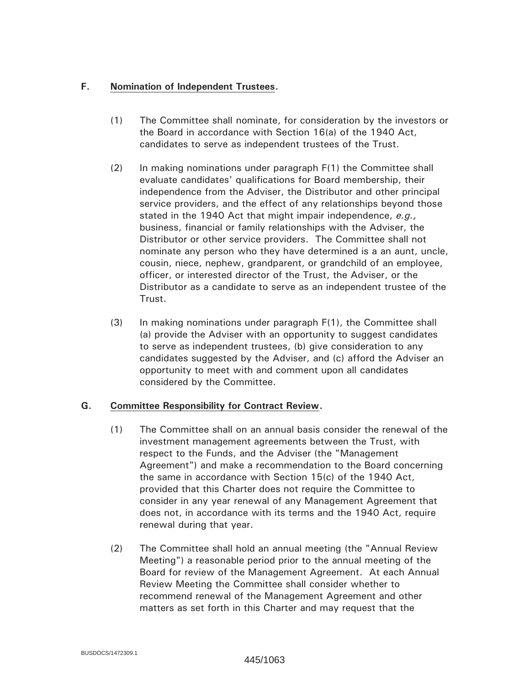# **F. Nomination of Independent Trustees.**

- (1) The Committee shall nominate, for consideration by the investors or the Board in accordance with Section 16(a) of the 1940 Act, candidates to serve as independent trustees of the Trust.
- (2) In making nominations under paragraph F(1) the Committee shall evaluate candidates' qualifications for Board membership, their independence from the Adviser, the Distributor and other principal service providers, and the effect of any relationships beyond those stated in the 1940 Act that might impair independence, *e.g.,* business, financial or family relationships with the Adviser, the Distributor or other service providers. The Committee shall not nominate any person who they have determined is a an aunt, uncle, cousin, niece, nephew, grandparent, or grandchild of an employee, officer, or interested director of the Trust, the Adviser, or the Distributor as a candidate to serve as an independent trustee of the Trust.
- (3) In making nominations under paragraph F(1), the Committee shall (a) provide the Adviser with an opportunity to suggest candidates to serve as independent trustees, (b) give consideration to any candidates suggested by the Adviser, and (c) afford the Adviser an opportunity to meet with and comment upon all candidates considered by the Committee.

# **G. Committee Responsibility for Contract Review.**

- (1) The Committee shall on an annual basis consider the renewal of the investment management agreements between the Trust, with respect to the Funds, and the Adviser (the "Management Agreement") and make a recommendation to the Board concerning the same in accordance with Section 15(c) of the 1940 Act, provided that this Charter does not require the Committee to consider in any year renewal of any Management Agreement that does not, in accordance with its terms and the 1940 Act, require renewal during that year.
- (2) The Committee shall hold an annual meeting (the "Annual Review Meeting") a reasonable period prior to the annual meeting of the Board for review of the Management Agreement. At each Annual Review Meeting the Committee shall consider whether to recommend renewal of the Management Agreement and other matters as set forth in this Charter and may request that the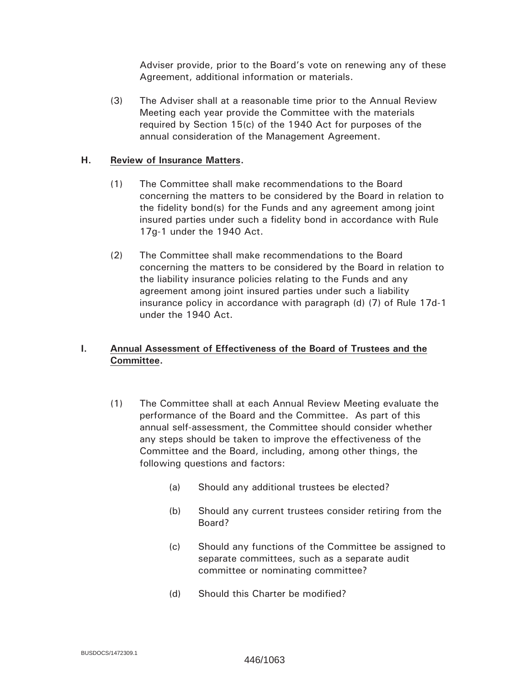Adviser provide, prior to the Board's vote on renewing any of these Agreement, additional information or materials.

(3) The Adviser shall at a reasonable time prior to the Annual Review Meeting each year provide the Committee with the materials required by Section 15(c) of the 1940 Act for purposes of the annual consideration of the Management Agreement.

#### **H. Review of Insurance Matters.**

- (1) The Committee shall make recommendations to the Board concerning the matters to be considered by the Board in relation to the fidelity bond(s) for the Funds and any agreement among joint insured parties under such a fidelity bond in accordance with Rule 17g-1 under the 1940 Act.
- (2) The Committee shall make recommendations to the Board concerning the matters to be considered by the Board in relation to the liability insurance policies relating to the Funds and any agreement among joint insured parties under such a liability insurance policy in accordance with paragraph (d) (7) of Rule 17d-1 under the 1940 Act.

# **I. Annual Assessment of Effectiveness of the Board of Trustees and the Committee.**

- (1) The Committee shall at each Annual Review Meeting evaluate the performance of the Board and the Committee. As part of this annual self-assessment, the Committee should consider whether any steps should be taken to improve the effectiveness of the Committee and the Board, including, among other things, the following questions and factors:
	- (a) Should any additional trustees be elected?
	- (b) Should any current trustees consider retiring from the Board?
	- (c) Should any functions of the Committee be assigned to separate committees, such as a separate audit committee or nominating committee?
	- (d) Should this Charter be modified?